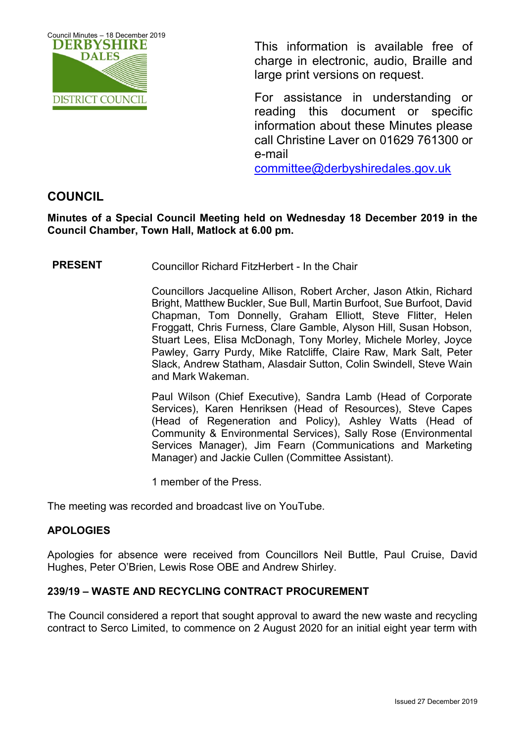

This information is available free of charge in electronic, audio, Braille and large print versions on request.

For assistance in understanding or reading this document or specific information about these Minutes please call Christine Laver on 01629 761300 or e-mail

[committee@derbyshiredales.gov.uk](mailto:brian.evans@derbyshiredales.gov.uk) 

# **COUNCIL**

**Minutes of a Special Council Meeting held on Wednesday 18 December 2019 in the Council Chamber, Town Hall, Matlock at 6.00 pm.**

**PRESENT** Councillor Richard FitzHerbert - In the Chair

Councillors Jacqueline Allison, Robert Archer, Jason Atkin, Richard Bright, Matthew Buckler, Sue Bull, Martin Burfoot, Sue Burfoot, David Chapman, Tom Donnelly, Graham Elliott, Steve Flitter, Helen Froggatt, Chris Furness, Clare Gamble, Alyson Hill, Susan Hobson, Stuart Lees, Elisa McDonagh, Tony Morley, Michele Morley, Joyce Pawley, Garry Purdy, Mike Ratcliffe, Claire Raw, Mark Salt, Peter Slack, Andrew Statham, Alasdair Sutton, Colin Swindell, Steve Wain and Mark Wakeman.

Paul Wilson (Chief Executive), Sandra Lamb (Head of Corporate Services), Karen Henriksen (Head of Resources), Steve Capes (Head of Regeneration and Policy), Ashley Watts (Head of Community & Environmental Services), Sally Rose (Environmental Services Manager), Jim Fearn (Communications and Marketing Manager) and Jackie Cullen (Committee Assistant).

1 member of the Press.

The meeting was recorded and broadcast live on YouTube.

## **APOLOGIES**

Apologies for absence were received from Councillors Neil Buttle, Paul Cruise, David Hughes, Peter O'Brien, Lewis Rose OBE and Andrew Shirley.

## **239/19 – WASTE AND RECYCLING CONTRACT PROCUREMENT**

The Council considered a report that sought approval to award the new waste and recycling contract to Serco Limited, to commence on 2 August 2020 for an initial eight year term with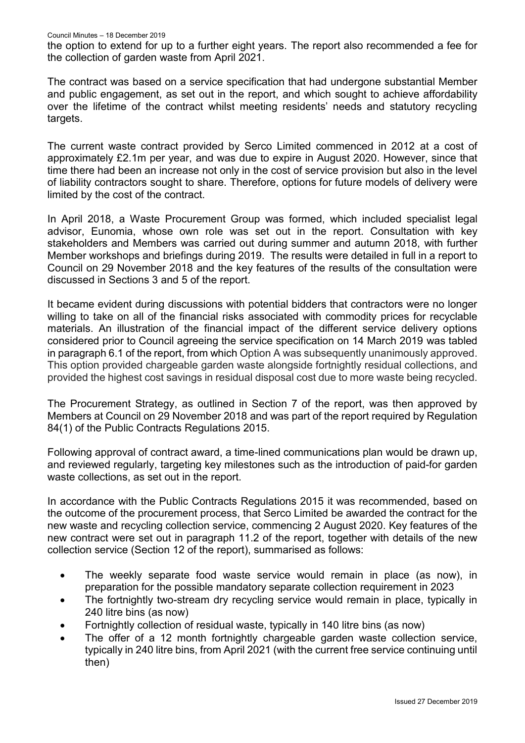the option to extend for up to a further eight years. The report also recommended a fee for the collection of garden waste from April 2021.

The contract was based on a service specification that had undergone substantial Member and public engagement, as set out in the report, and which sought to achieve affordability over the lifetime of the contract whilst meeting residents' needs and statutory recycling targets.

The current waste contract provided by Serco Limited commenced in 2012 at a cost of approximately £2.1m per year, and was due to expire in August 2020. However, since that time there had been an increase not only in the cost of service provision but also in the level of liability contractors sought to share. Therefore, options for future models of delivery were limited by the cost of the contract.

In April 2018, a Waste Procurement Group was formed, which included specialist legal advisor, Eunomia, whose own role was set out in the report. Consultation with key stakeholders and Members was carried out during summer and autumn 2018, with further Member workshops and briefings during 2019. The results were detailed in full in a report to Council on 29 November 2018 and the key features of the results of the consultation were discussed in Sections 3 and 5 of the report.

It became evident during discussions with potential bidders that contractors were no longer willing to take on all of the financial risks associated with commodity prices for recyclable materials. An illustration of the financial impact of the different service delivery options considered prior to Council agreeing the service specification on 14 March 2019 was tabled in paragraph 6.1 of the report, from which Option A was subsequently unanimously approved. This option provided chargeable garden waste alongside fortnightly residual collections, and provided the highest cost savings in residual disposal cost due to more waste being recycled.

The Procurement Strategy, as outlined in Section 7 of the report, was then approved by Members at Council on 29 November 2018 and was part of the report required by Regulation 84(1) of the Public Contracts Regulations 2015.

Following approval of contract award, a time-lined communications plan would be drawn up, and reviewed regularly, targeting key milestones such as the introduction of paid-for garden waste collections, as set out in the report.

In accordance with the Public Contracts Regulations 2015 it was recommended, based on the outcome of the procurement process, that Serco Limited be awarded the contract for the new waste and recycling collection service, commencing 2 August 2020. Key features of the new contract were set out in paragraph 11.2 of the report, together with details of the new collection service (Section 12 of the report), summarised as follows:

- The weekly separate food waste service would remain in place (as now), in preparation for the possible mandatory separate collection requirement in 2023
- The fortnightly two-stream dry recycling service would remain in place, typically in 240 litre bins (as now)
- Fortnightly collection of residual waste, typically in 140 litre bins (as now)
- The offer of a 12 month fortnightly chargeable garden waste collection service, typically in 240 litre bins, from April 2021 (with the current free service continuing until then)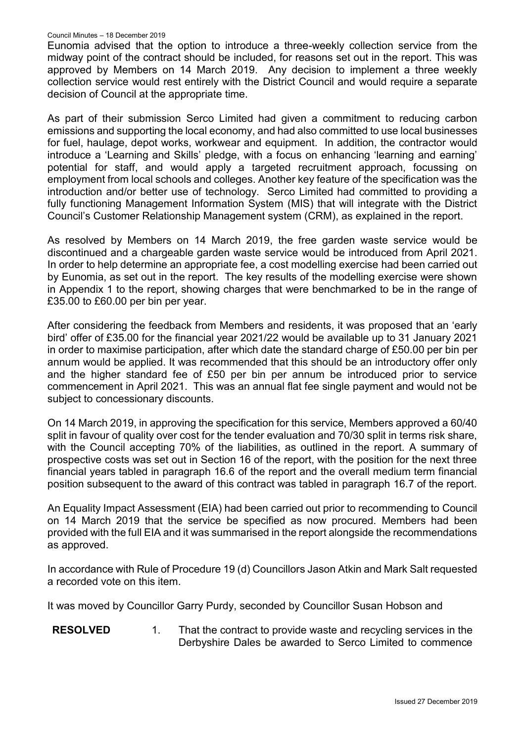### Council Minutes – 18 December 2019

Eunomia advised that the option to introduce a three-weekly collection service from the midway point of the contract should be included, for reasons set out in the report. This was approved by Members on 14 March 2019. Any decision to implement a three weekly collection service would rest entirely with the District Council and would require a separate decision of Council at the appropriate time.

As part of their submission Serco Limited had given a commitment to reducing carbon emissions and supporting the local economy, and had also committed to use local businesses for fuel, haulage, depot works, workwear and equipment. In addition, the contractor would introduce a 'Learning and Skills' pledge, with a focus on enhancing 'learning and earning' potential for staff, and would apply a targeted recruitment approach, focussing on employment from local schools and colleges. Another key feature of the specification was the introduction and/or better use of technology. Serco Limited had committed to providing a fully functioning Management Information System (MIS) that will integrate with the District Council's Customer Relationship Management system (CRM), as explained in the report.

As resolved by Members on 14 March 2019, the free garden waste service would be discontinued and a chargeable garden waste service would be introduced from April 2021. In order to help determine an appropriate fee, a cost modelling exercise had been carried out by Eunomia, as set out in the report. The key results of the modelling exercise were shown in Appendix 1 to the report, showing charges that were benchmarked to be in the range of £35.00 to £60.00 per bin per year.

After considering the feedback from Members and residents, it was proposed that an 'early bird' offer of £35.00 for the financial year 2021/22 would be available up to 31 January 2021 in order to maximise participation, after which date the standard charge of £50.00 per bin per annum would be applied. It was recommended that this should be an introductory offer only and the higher standard fee of £50 per bin per annum be introduced prior to service commencement in April 2021. This was an annual flat fee single payment and would not be subject to concessionary discounts.

On 14 March 2019, in approving the specification for this service, Members approved a 60/40 split in favour of quality over cost for the tender evaluation and 70/30 split in terms risk share, with the Council accepting 70% of the liabilities, as outlined in the report. A summary of prospective costs was set out in Section 16 of the report, with the position for the next three financial years tabled in paragraph 16.6 of the report and the overall medium term financial position subsequent to the award of this contract was tabled in paragraph 16.7 of the report.

An Equality Impact Assessment (EIA) had been carried out prior to recommending to Council on 14 March 2019 that the service be specified as now procured. Members had been provided with the full EIA and it was summarised in the report alongside the recommendations as approved.

In accordance with Rule of Procedure 19 (d) Councillors Jason Atkin and Mark Salt requested a recorded vote on this item.

It was moved by Councillor Garry Purdy, seconded by Councillor Susan Hobson and

**RESOLVED** 1. That the contract to provide waste and recycling services in the Derbyshire Dales be awarded to Serco Limited to commence